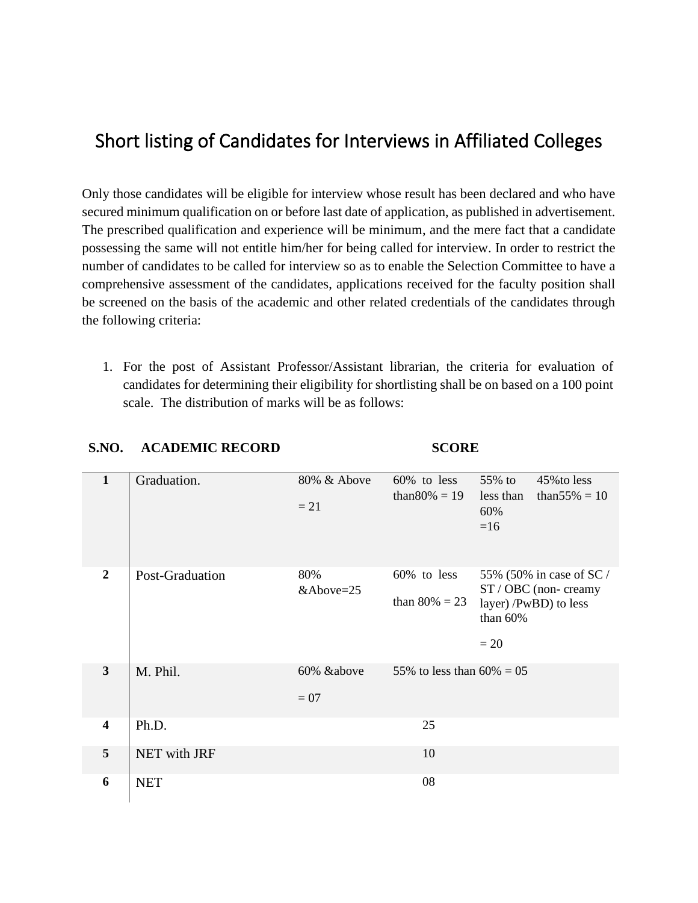## Short listing of Candidates for Interviews in Affiliated Colleges

Only those candidates will be eligible for interview whose result has been declared and who have secured minimum qualification on or before last date of application, as published in advertisement. The prescribed qualification and experience will be minimum, and the mere fact that a candidate possessing the same will not entitle him/her for being called for interview. In order to restrict the number of candidates to be called for interview so as to enable the Selection Committee to have a comprehensive assessment of the candidates, applications received for the faculty position shall be screened on the basis of the academic and other related credentials of the candidates through the following criteria:

1. For the post of Assistant Professor/Assistant librarian, the criteria for evaluation of candidates for determining their eligibility for shortlisting shall be on based on a 100 point scale. The distribution of marks will be as follows:

| $\mathbf{1}$            | Graduation.     | 80% & Above<br>$= 21$ | 60% to less<br>than $80\% = 19$ | 55% to<br>less than<br>60%<br>$=16$ | 45% to less<br>than $55\% = 10$                                          |
|-------------------------|-----------------|-----------------------|---------------------------------|-------------------------------------|--------------------------------------------------------------------------|
| $\overline{2}$          | Post-Graduation | 80%<br>&Above=25      | 60% to less<br>than $80\% = 23$ | than 60%<br>$= 20$                  | 55% (50% in case of SC/<br>ST / OBC (non-creamy<br>layer) /PwBD) to less |
| $\mathbf{3}$            | M. Phil.        | 60% &above<br>$= 07$  | 55% to less than $60\% = 05$    |                                     |                                                                          |
| $\overline{\mathbf{4}}$ | Ph.D.           |                       | 25                              |                                     |                                                                          |
| 5                       | NET with JRF    |                       | 10                              |                                     |                                                                          |
| 6                       | <b>NET</b>      |                       | 08                              |                                     |                                                                          |

## **S.NO. ACADEMIC RECORD SCORE**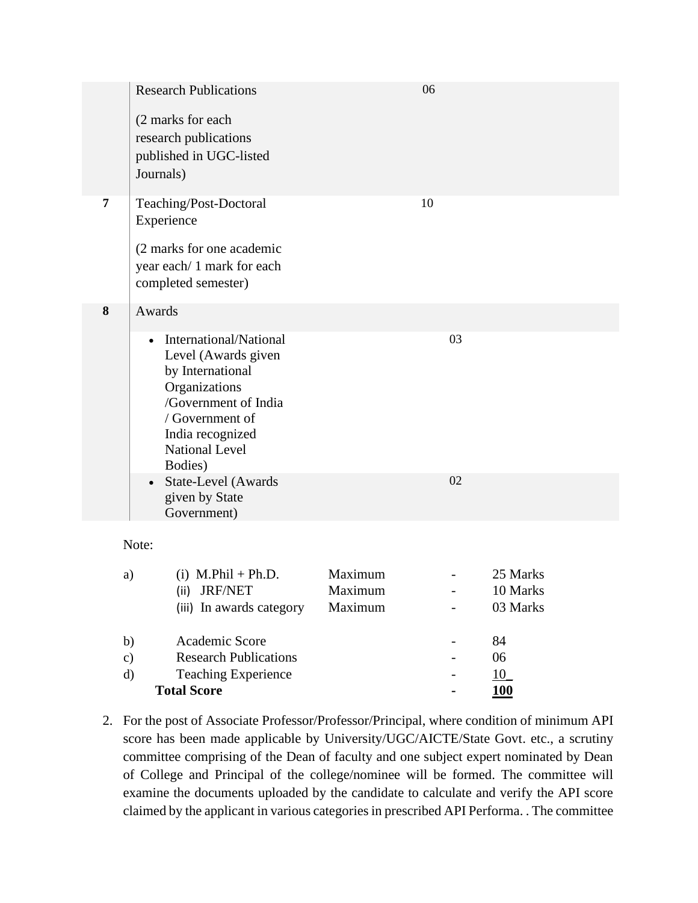|   | <b>Research Publications</b><br>(2 marks for each<br>research publications<br>published in UGC-listed<br>Journals)                                                                                                                                                     |                               | 06                       |                                  |
|---|------------------------------------------------------------------------------------------------------------------------------------------------------------------------------------------------------------------------------------------------------------------------|-------------------------------|--------------------------|----------------------------------|
| 7 | Teaching/Post-Doctoral<br>Experience<br>(2 marks for one academic<br>year each/1 mark for each<br>completed semester)                                                                                                                                                  |                               | 10                       |                                  |
| 8 | Awards<br>International/National<br>$\bullet$<br>Level (Awards given<br>by International<br>Organizations<br>/Government of India<br>/ Government of<br>India recognized<br><b>National Level</b><br>Bodies)<br>• State-Level (Awards<br>given by State<br>Government) |                               | 03<br>02                 |                                  |
|   | Note:                                                                                                                                                                                                                                                                  |                               |                          |                                  |
|   | $(i)$ M.Phil + Ph.D.<br>a)<br>(ii) JRF/NET<br>(iii) In awards category                                                                                                                                                                                                 | Maximum<br>Maximum<br>Maximum | $\overline{\phantom{0}}$ | 25 Marks<br>10 Marks<br>03 Marks |
|   | Academic Score<br>b)<br>Research Publications<br>$\sim$                                                                                                                                                                                                                |                               |                          | 84<br>በሬ                         |
|   |                                                                                                                                                                                                                                                                        |                               |                          |                                  |

- c) Research Publications 06 d) Teaching Experience - 10\_ **Total Score - 100**
- 2. For the post of Associate Professor/Professor/Principal, where condition of minimum API score has been made applicable by University/UGC/AICTE/State Govt. etc., a scrutiny committee comprising of the Dean of faculty and one subject expert nominated by Dean of College and Principal of the college/nominee will be formed. The committee will examine the documents uploaded by the candidate to calculate and verify the API score claimed by the applicant in various categories in prescribed API Performa. . The committee